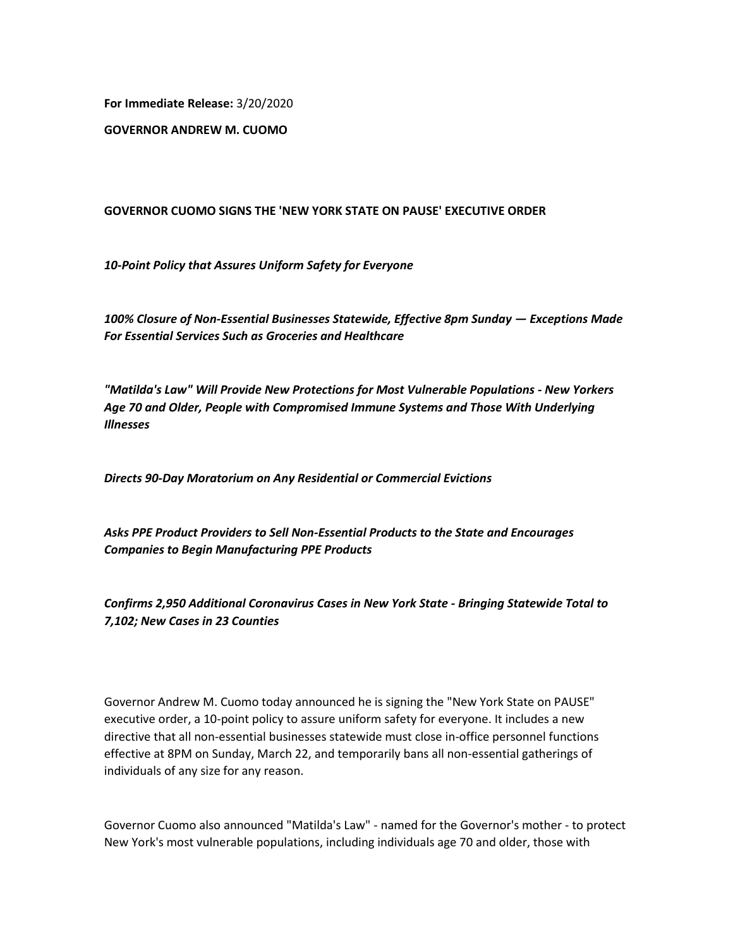**For Immediate Release:** 3/20/2020

**GOVERNOR ANDREW M. CUOMO**

## **GOVERNOR CUOMO SIGNS THE 'NEW YORK STATE ON PAUSE' EXECUTIVE ORDER**

*10-Point Policy that Assures Uniform Safety for Everyone*

*100% Closure of Non-Essential Businesses Statewide, Effective 8pm Sunday — Exceptions Made For Essential Services Such as Groceries and Healthcare*

*"Matilda's Law" Will Provide New Protections for Most Vulnerable Populations - New Yorkers Age 70 and Older, People with Compromised Immune Systems and Those With Underlying Illnesses*

*Directs 90-Day Moratorium on Any Residential or Commercial Evictions*

*Asks PPE Product Providers to Sell Non-Essential Products to the State and Encourages Companies to Begin Manufacturing PPE Products*

*Confirms 2,950 Additional Coronavirus Cases in New York State - Bringing Statewide Total to 7,102; New Cases in 23 Counties*

Governor Andrew M. Cuomo today announced he is signing the "New York State on PAUSE" executive order, a 10-point policy to assure uniform safety for everyone. It includes a new directive that all non-essential businesses statewide must close in-office personnel functions effective at 8PM on Sunday, March 22, and temporarily bans all non-essential gatherings of individuals of any size for any reason.

Governor Cuomo also announced "Matilda's Law" - named for the Governor's mother - to protect New York's most vulnerable populations, including individuals age 70 and older, those with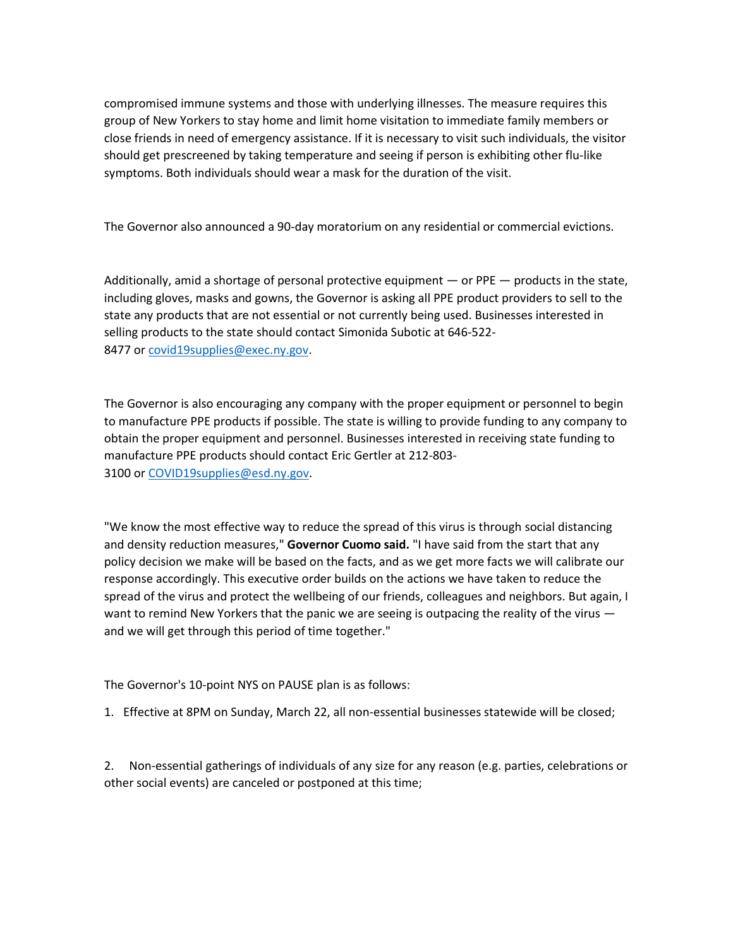compromised immune systems and those with underlying illnesses. The measure requires this group of New Yorkers to stay home and limit home visitation to immediate family members or close friends in need of emergency assistance. If it is necessary to visit such individuals, the visitor should get prescreened by taking temperature and seeing if person is exhibiting other flu-like symptoms. Both individuals should wear a mask for the duration of the visit.

The Governor also announced a 90-day moratorium on any residential or commercial evictions.

Additionally, amid a shortage of personal protective equipment — or PPE — products in the state, including gloves, masks and gowns, the Governor is asking all PPE product providers to sell to the state any products that are not essential or not currently being used. Businesses interested in selling products to the state should contact Simonida Subotic at 646-522 8477 or [covid19supplies@exec.ny.gov.](mailto:covid19supplies@exec.ny.gov)

The Governor is also encouraging any company with the proper equipment or personnel to begin to manufacture PPE products if possible. The state is willing to provide funding to any company to obtain the proper equipment and personnel. Businesses interested in receiving state funding to manufacture PPE products should contact Eric Gertler at 212-803- 3100 or [COVID19supplies@esd.ny.gov.](mailto:COVID19supplies@esd.ny.gov)

"We know the most effective way to reduce the spread of this virus is through social distancing and density reduction measures," **Governor Cuomo said.** "I have said from the start that any policy decision we make will be based on the facts, and as we get more facts we will calibrate our response accordingly. This executive order builds on the actions we have taken to reduce the spread of the virus and protect the wellbeing of our friends, colleagues and neighbors. But again, I want to remind New Yorkers that the panic we are seeing is outpacing the reality of the virus  $$ and we will get through this period of time together."

The Governor's 10-point NYS on PAUSE plan is as follows:

1. Effective at 8PM on Sunday, March 22, all non-essential businesses statewide will be closed;

2. Non-essential gatherings of individuals of any size for any reason (e.g. parties, celebrations or other social events) are canceled or postponed at this time;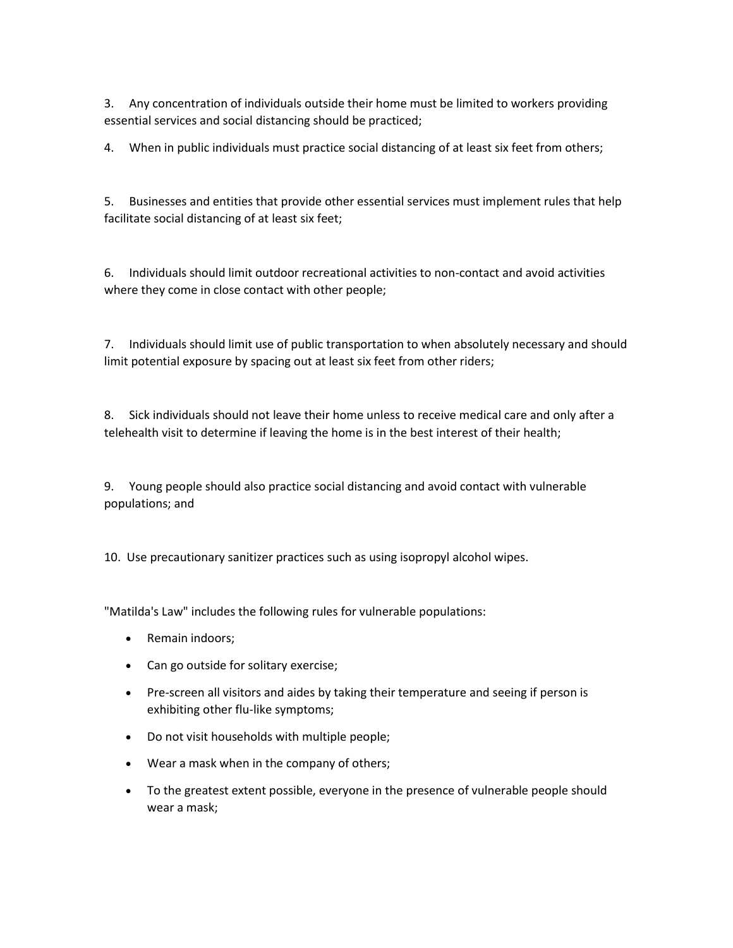3. Any concentration of individuals outside their home must be limited to workers providing essential services and social distancing should be practiced;

4. When in public individuals must practice social distancing of at least six feet from others;

5. Businesses and entities that provide other essential services must implement rules that help facilitate social distancing of at least six feet;

6. Individuals should limit outdoor recreational activities to non-contact and avoid activities where they come in close contact with other people;

7. Individuals should limit use of public transportation to when absolutely necessary and should limit potential exposure by spacing out at least six feet from other riders;

8. Sick individuals should not leave their home unless to receive medical care and only after a telehealth visit to determine if leaving the home is in the best interest of their health;

9. Young people should also practice social distancing and avoid contact with vulnerable populations; and

10. Use precautionary sanitizer practices such as using isopropyl alcohol wipes.

"Matilda's Law" includes the following rules for vulnerable populations:

- Remain indoors;
- Can go outside for solitary exercise;
- Pre-screen all visitors and aides by taking their temperature and seeing if person is exhibiting other flu-like symptoms;
- Do not visit households with multiple people;
- Wear a mask when in the company of others;
- To the greatest extent possible, everyone in the presence of vulnerable people should wear a mask;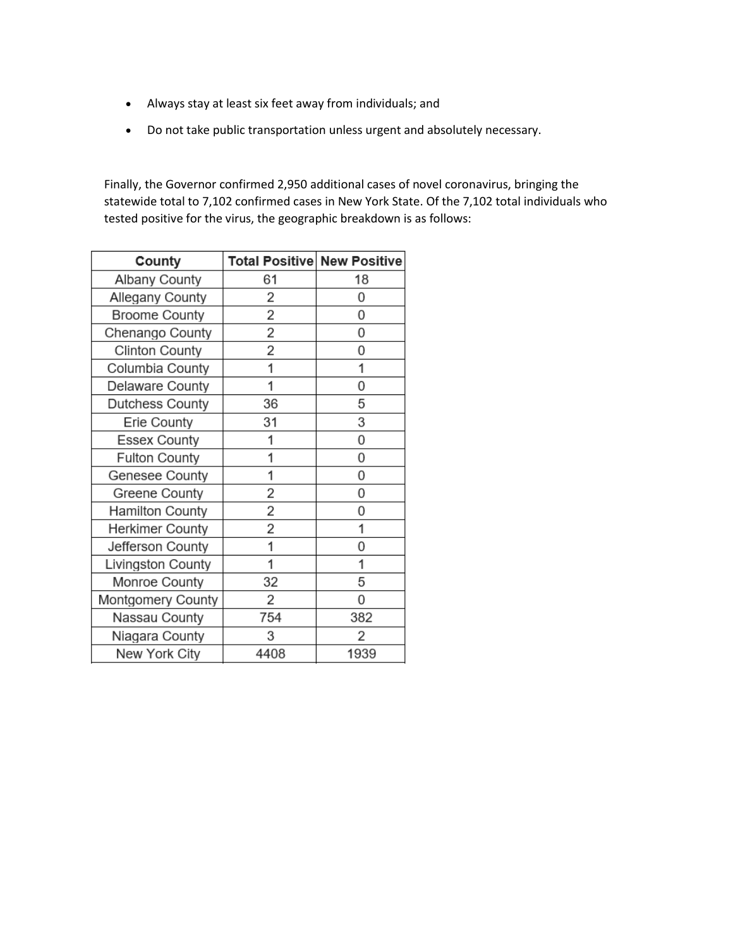- Always stay at least six feet away from individuals; and
- Do not take public transportation unless urgent and absolutely necessary.

Finally, the Governor confirmed 2,950 additional cases of novel coronavirus, bringing the statewide total to 7,102 confirmed cases in New York State. Of the 7,102 total individuals who tested positive for the virus, the geographic breakdown is as follows:

| County                 | <b>Total Positive New Positive</b> |      |
|------------------------|------------------------------------|------|
| Albany County          | 61                                 | 18   |
| Allegany County        | 2                                  | 0    |
| <b>Broome County</b>   | 2                                  | 0    |
| Chenango County        | 2                                  | 0    |
| <b>Clinton County</b>  | 2                                  | 0    |
| Columbia County        | 1                                  | 1    |
| Delaware County        | 1                                  | 0    |
| Dutchess County        | 36                                 | 5    |
| Erie County            | 31                                 | 3    |
| <b>Essex County</b>    | 1                                  | 0    |
| <b>Fulton County</b>   | 1                                  | 0    |
| Genesee County         | 1                                  | 0    |
| Greene County          | 2                                  | 0    |
| <b>Hamilton County</b> | 2                                  | 0    |
| Herkimer County        | 2                                  | 1    |
| Jefferson County       | 1                                  | 0    |
| Livingston County      | 1                                  | 1    |
| Monroe County          | 32                                 | 5    |
| Montgomery County      | 2                                  | 0    |
| Nassau County          | 754                                | 382  |
| Niagara County         | 3                                  | 2    |
| New York City          | 4408                               | 1939 |